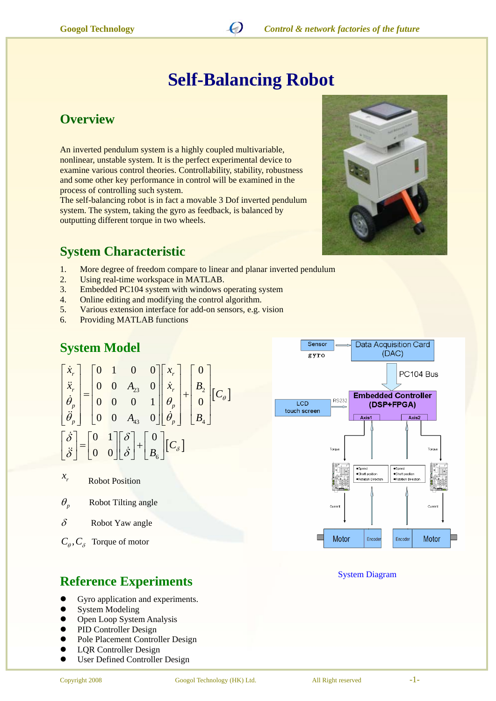

# **Self-Balancing Robot**

#### **Overview**

An inverted pendulum system is a highly coupled multivariable, nonlinear, unstable system. It is the perfect experimental device to examine various control theories. Controllability, stability, robustness and some other key performance in control will be examined in the process of controlling such system.

The self-balancing robot is in fact a movable 3 Dof inverted pendulum system. The system, taking the gyro as feedback, is balanced by outputting different torque in two wheels.

#### **System Characteristic**

- 1. More degree of freedom compare to linear and planar inverted pendulum
- 2. Using real-time workspace in MATLAB.
- 3. Embedded PC104 system with windows operating system
- 4. Online editing and modifying the control algorithm.
- 5. Various extension interface for add-on sensors, e.g. vision
- 6. Providing MATLAB functions

## **System Model**

$$
\begin{bmatrix} \dot{x}_r \\ \ddot{x}_r \\ \dot{\theta}_p \\ \ddot{\theta}_p \end{bmatrix} = \begin{bmatrix} 0 & 1 & 0 & 0 \\ 0 & 0 & A_{23} & 0 \\ 0 & 0 & 0 & 1 \\ 0 & 0 & A_{43} & 0 \end{bmatrix} \begin{bmatrix} x_r \\ \dot{x}_r \\ \theta_p \\ \dot{\theta}_p \end{bmatrix} + \begin{bmatrix} 0 \\ B_2 \\ 0 \\ B_4 \end{bmatrix} [C_\theta]
$$

$$
\begin{bmatrix} \dot{\delta} \\ \ddot{\delta} \end{bmatrix} = \begin{bmatrix} 0 & 1 \\ 0 & 0 \end{bmatrix} \begin{bmatrix} \delta \\ \dot{\delta} \end{bmatrix} + \begin{bmatrix} 0 \\ B_6 \end{bmatrix} [C_\delta]
$$

 $x_r$  **Robot Position** 

 $\theta$ <sub>n</sub> Robot Tilting angle

 $\delta$  Robot Yaw angle

 $C_a, C_s$  Torque of motor

# **Reference Experiments** System Diagram

- Gyro application and experiments.
- System Modeling
- Open Loop System Analysis
- PID Controller Design
- Pole Placement Controller Design
- LQR Controller Design
- User Defined Controller Design